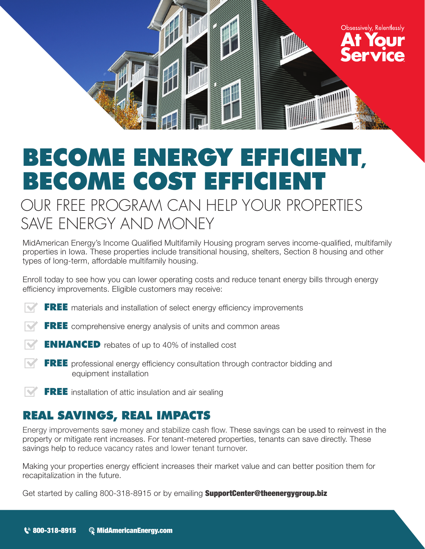

## BECOME ENERGY EFFICIENT, BECOME COST EFFICIENT

### OUR FREE PROGRAM CAN HELP YOUR PROPERTIES SAVE ENERGY AND MONEY

MidAmerican Energy's Income Qualified Multifamily Housing program serves income-qualified, multifamily properties in Iowa. These properties include transitional housing, shelters, Section 8 housing and other types of long-term, affordable multifamily housing.

Enroll today to see how you can lower operating costs and reduce tenant energy bills through energy efficiency improvements. Eligible customers may receive:

- **FREE** materials and installation of select energy efficiency improvements
- **FREE** comprehensive energy analysis of units and common areas
- **ENHANCED** rebates of up to 40% of installed cost
- **FREE** professional energy efficiency consultation through contractor bidding and equipment installation
- FREE installation of attic insulation and air sealing

#### REAL SAVINGS, REAL IMPACTS

Energy improvements save money and stabilize cash flow. These savings can be used to reinvest in the property or mitigate rent increases. For tenant-metered properties, tenants can save directly. These savings help to reduce vacancy rates and lower tenant turnover.

Making your properties energy efficient increases their market value and can better position them for recapitalization in the future.

Get started by calling 800-318-8915 or by emailing **SupportCenter@theenergygroup.biz**